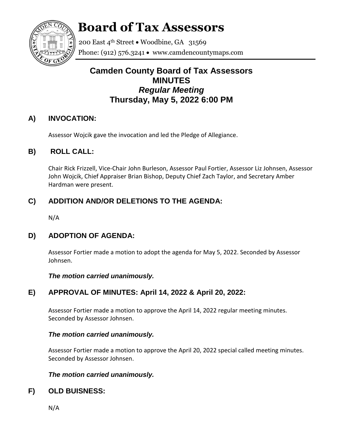

# **Board of Tax Assessors**

200 East 4th Street . Woodbine, GA 31569 Phone: (912) 576.3241  $\bullet$  www.camdencountymaps.com

# **Camden County Board of Tax Assessors MINUTES** *Regular Meeting* **Thursday, May 5, 2022 6:00 PM**

## **A) INVOCATION:**

Assessor Wojcik gave the invocation and led the Pledge of Allegiance.

## **B) ROLL CALL:**

Chair Rick Frizzell, Vice-Chair John Burleson, Assessor Paul Fortier, Assessor Liz Johnsen, Assessor John Wojcik, Chief Appraiser Brian Bishop, Deputy Chief Zach Taylor, and Secretary Amber Hardman were present.

# **C) ADDITION AND/OR DELETIONS TO THE AGENDA:**

N/A

# **D) ADOPTION OF AGENDA:**

Assessor Fortier made a motion to adopt the agenda for May 5, 2022. Seconded by Assessor Johnsen.

*The motion carried unanimously.*

# **E) APPROVAL OF MINUTES: April 14, 2022 & April 20, 2022:**

Assessor Fortier made a motion to approve the April 14, 2022 regular meeting minutes. Seconded by Assessor Johnsen.

## *The motion carried unanimously.*

Assessor Fortier made a motion to approve the April 20, 2022 special called meeting minutes. Seconded by Assessor Johnsen.

## *The motion carried unanimously.*

# **F) OLD BUISNESS:**

N/A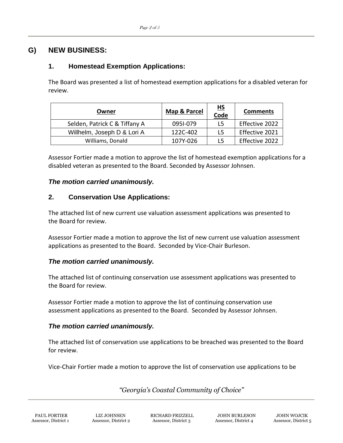## **G) NEW BUSINESS:**

## **1. Homestead Exemption Applications:**

The Board was presented a list of homestead exemption applications for a disabled veteran for review.

| Owner                         | Map & Parcel | <u>HS</u><br>Code | <b>Comments</b> |
|-------------------------------|--------------|-------------------|-----------------|
| Selden, Patrick C & Tiffany A | 0951-079     | L5                | Effective 2022  |
| Willhelm, Joseph D & Lori A   | 122C-402     | L5                | Effective 2021  |
| Williams, Donald              | 107Y-026     | 15                | Effective 2022  |

Assessor Fortier made a motion to approve the list of homestead exemption applications for a disabled veteran as presented to the Board. Seconded by Assessor Johnsen.

#### *The motion carried unanimously.*

#### **2. Conservation Use Applications:**

The attached list of new current use valuation assessment applications was presented to the Board for review.

Assessor Fortier made a motion to approve the list of new current use valuation assessment applications as presented to the Board. Seconded by Vice-Chair Burleson.

#### *The motion carried unanimously.*

The attached list of continuing conservation use assessment applications was presented to the Board for review.

Assessor Fortier made a motion to approve the list of continuing conservation use assessment applications as presented to the Board. Seconded by Assessor Johnsen.

### *The motion carried unanimously.*

The attached list of conservation use applications to be breached was presented to the Board for review.

Vice-Chair Fortier made a motion to approve the list of conservation use applications to be

*"Georgia's Coastal Community of Choice"*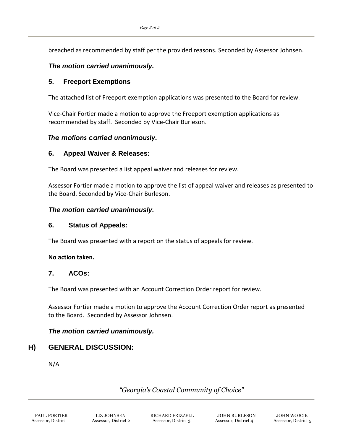breached as recommended by staff per the provided reasons. Seconded by Assessor Johnsen.

#### *The motion carried unanimously.*

#### **5. Freeport Exemptions**

The attached list of Freeport exemption applications was presented to the Board for review.

Vice-Chair Fortier made a motion to approve the Freeport exemption applications as recommended by staff. Seconded by Vice-Chair Burleson.

#### *The motions carried unanimously.*

#### **6. Appeal Waiver & Releases:**

The Board was presented a list appeal waiver and releases for review.

Assessor Fortier made a motion to approve the list of appeal waiver and releases as presented to the Board. Seconded by Vice-Chair Burleson.

#### *The motion carried unanimously.*

#### **6. Status of Appeals:**

The Board was presented with a report on the status of appeals for review.

#### **No action taken.**

#### **7. ACOs:**

The Board was presented with an Account Correction Order report for review.

Assessor Fortier made a motion to approve the Account Correction Order report as presented to the Board. Seconded by Assessor Johnsen.

#### *The motion carried unanimously.*

#### **H) GENERAL DISCUSSION:**

N/A

*"Georgia's Coastal Community of Choice"*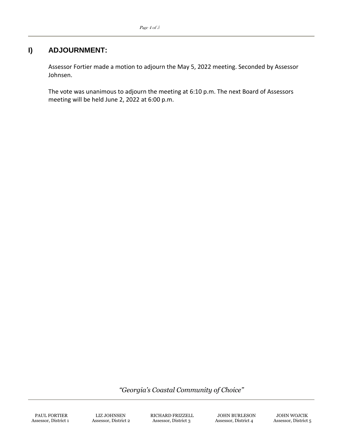## **I) ADJOURNMENT:**

Assessor Fortier made a motion to adjourn the May 5, 2022 meeting. Seconded by Assessor Johnsen.

The vote was unanimous to adjourn the meeting at 6:10 p.m. The next Board of Assessors meeting will be held June 2, 2022 at 6:00 p.m.

*"Georgia's Coastal Community of Choice"*

PAUL FORTIER LIZ JOHNSEN RICHARD FRIZZELL JOHN BURLESON JOHN WOJCIK Assessor, District 1 Assessor, District 2 Assessor, District 3 Assessor, District 4 Assessor, District 5